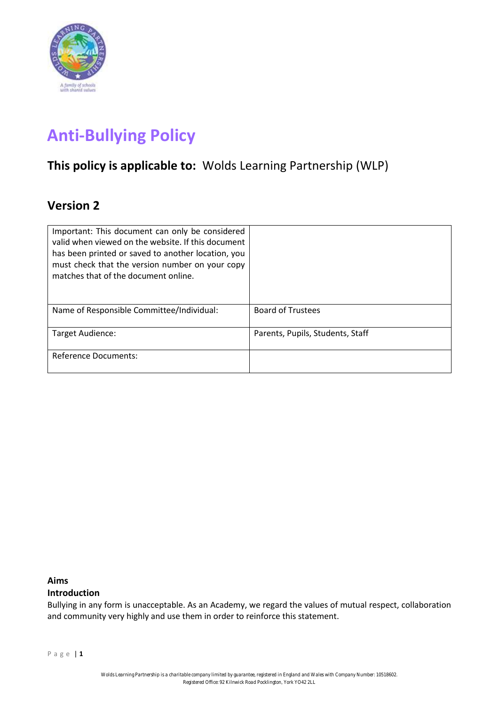

# **Anti-Bullying Policy**

# **This policy is applicable to:** Wolds Learning Partnership (WLP)

# **Version 2**

| Important: This document can only be considered<br>valid when viewed on the website. If this document<br>has been printed or saved to another location, you<br>must check that the version number on your copy<br>matches that of the document online. |                                  |
|--------------------------------------------------------------------------------------------------------------------------------------------------------------------------------------------------------------------------------------------------------|----------------------------------|
| Name of Responsible Committee/Individual:                                                                                                                                                                                                              | <b>Board of Trustees</b>         |
| Target Audience:                                                                                                                                                                                                                                       | Parents, Pupils, Students, Staff |
| Reference Documents:                                                                                                                                                                                                                                   |                                  |

# **Aims**

# **Introduction**

Bullying in any form is unacceptable. As an Academy, we regard the values of mutual respect, collaboration and community very highly and use them in order to reinforce this statement.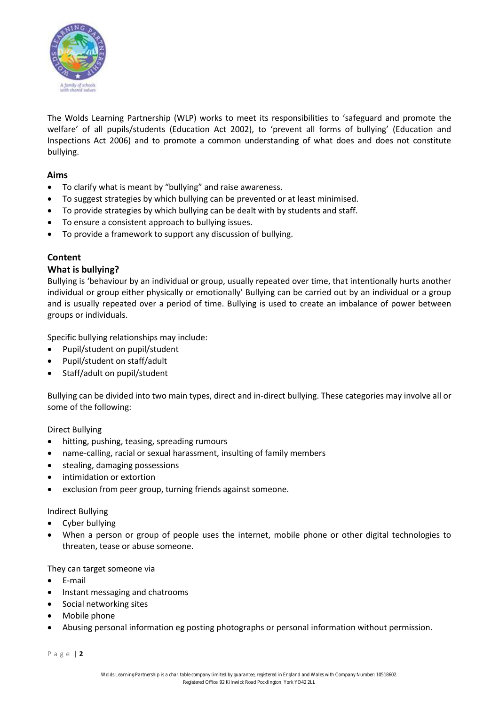

The Wolds Learning Partnership (WLP) works to meet its responsibilities to 'safeguard and promote the welfare' of all pupils/students (Education Act 2002), to 'prevent all forms of bullying' (Education and Inspections Act 2006) and to promote a common understanding of what does and does not constitute bullying.

#### **Aims**

- To clarify what is meant by "bullying" and raise awareness.
- To suggest strategies by which bullying can be prevented or at least minimised.
- To provide strategies by which bullying can be dealt with by students and staff.
- To ensure a consistent approach to bullying issues.
- To provide a framework to support any discussion of bullying.

# **Content**

#### **What is bullying?**

Bullying is 'behaviour by an individual or group, usually repeated over time, that intentionally hurts another individual or group either physically or emotionally' Bullying can be carried out by an individual or a group and is usually repeated over a period of time. Bullying is used to create an imbalance of power between groups or individuals.

Specific bullying relationships may include:

- Pupil/student on pupil/student
- Pupil/student on staff/adult
- Staff/adult on pupil/student

Bullying can be divided into two main types, direct and in-direct bullying. These categories may involve all or some of the following:

Direct Bullying

- hitting, pushing, teasing, spreading rumours
- name-calling, racial or sexual harassment, insulting of family members
- stealing, damaging possessions
- intimidation or extortion
- exclusion from peer group, turning friends against someone.

#### Indirect Bullying

- Cyber bullying
- When a person or group of people uses the internet, mobile phone or other digital technologies to threaten, tease or abuse someone.

#### They can target someone via

- E-mail
- Instant messaging and chatrooms
- Social networking sites
- Mobile phone
- Abusing personal information eg posting photographs or personal information without permission.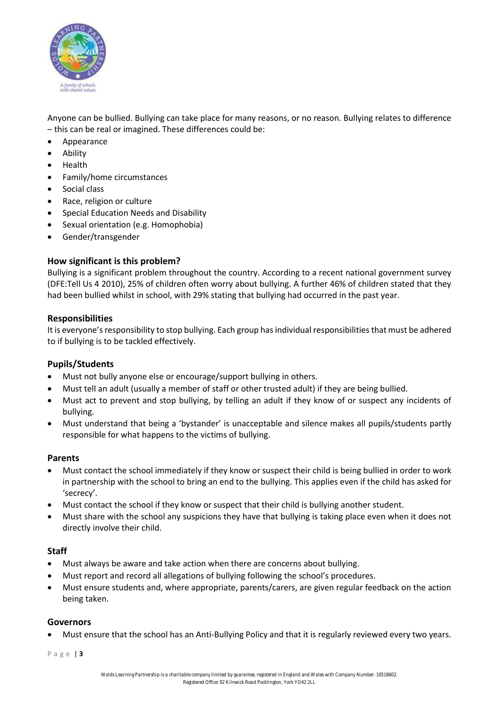

Anyone can be bullied. Bullying can take place for many reasons, or no reason. Bullying relates to difference – this can be real or imagined. These differences could be:

- Appearance
- Ability
- Health
- Family/home circumstances
- Social class
- Race, religion or culture
- Special Education Needs and Disability
- Sexual orientation (e.g. Homophobia)
- Gender/transgender

# **How significant is this problem?**

Bullying is a significant problem throughout the country. According to a recent national government survey (DFE:Tell Us 4 2010), 25% of children often worry about bullying. A further 46% of children stated that they had been bullied whilst in school, with 29% stating that bullying had occurred in the past year.

#### **Responsibilities**

It is everyone's responsibility to stop bullying. Each group has individual responsibilities that must be adhered to if bullying is to be tackled effectively.

#### **Pupils/Students**

- Must not bully anyone else or encourage/support bullying in others.
- Must tell an adult (usually a member of staff or other trusted adult) if they are being bullied.
- Must act to prevent and stop bullying, by telling an adult if they know of or suspect any incidents of bullying.
- Must understand that being a 'bystander' is unacceptable and silence makes all pupils/students partly responsible for what happens to the victims of bullying.

#### **Parents**

- Must contact the school immediately if they know or suspect their child is being bullied in order to work in partnership with the school to bring an end to the bullying. This applies even if the child has asked for 'secrecy'.
- Must contact the school if they know or suspect that their child is bullying another student.
- Must share with the school any suspicions they have that bullying is taking place even when it does not directly involve their child.

#### **Staff**

- Must always be aware and take action when there are concerns about bullying.
- Must report and record all allegations of bullying following the school's procedures.
- Must ensure students and, where appropriate, parents/carers, are given regular feedback on the action being taken.

#### **Governors**

• Must ensure that the school has an Anti-Bullying Policy and that it is regularly reviewed every two years.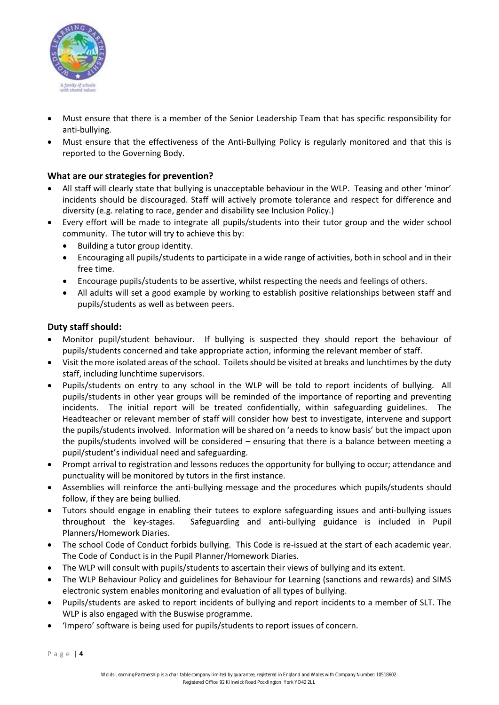

- Must ensure that there is a member of the Senior Leadership Team that has specific responsibility for anti-bullying.
- Must ensure that the effectiveness of the Anti-Bullying Policy is regularly monitored and that this is reported to the Governing Body.

# **What are our strategies for prevention?**

- All staff will clearly state that bullying is unacceptable behaviour in the WLP. Teasing and other 'minor' incidents should be discouraged. Staff will actively promote tolerance and respect for difference and diversity (e.g. relating to race, gender and disability see Inclusion Policy.)
- Every effort will be made to integrate all pupils/students into their tutor group and the wider school community. The tutor will try to achieve this by:
	- Building a tutor group identity.
	- Encouraging all pupils/students to participate in a wide range of activities, both in school and in their free time.
	- Encourage pupils/students to be assertive, whilst respecting the needs and feelings of others.
	- All adults will set a good example by working to establish positive relationships between staff and pupils/students as well as between peers.

# **Duty staff should:**

- Monitor pupil/student behaviour. If bullying is suspected they should report the behaviour of pupils/students concerned and take appropriate action, informing the relevant member of staff.
- Visit the more isolated areas of the school. Toilets should be visited at breaks and lunchtimes by the duty staff, including lunchtime supervisors.
- Pupils/students on entry to any school in the WLP will be told to report incidents of bullying. All pupils/students in other year groups will be reminded of the importance of reporting and preventing incidents. The initial report will be treated confidentially, within safeguarding guidelines. The Headteacher or relevant member of staff will consider how best to investigate, intervene and support the pupils/students involved. Information will be shared on 'a needs to know basis' but the impact upon the pupils/students involved will be considered – ensuring that there is a balance between meeting a pupil/student's individual need and safeguarding.
- Prompt arrival to registration and lessons reduces the opportunity for bullying to occur; attendance and punctuality will be monitored by tutors in the first instance.
- Assemblies will reinforce the anti-bullying message and the procedures which pupils/students should follow, if they are being bullied.
- Tutors should engage in enabling their tutees to explore safeguarding issues and anti-bullying issues throughout the key-stages. Safeguarding and anti-bullying guidance is included in Pupil Planners/Homework Diaries.
- The school Code of Conduct forbids bullying. This Code is re-issued at the start of each academic year. The Code of Conduct is in the Pupil Planner/Homework Diaries.
- The WLP will consult with pupils/students to ascertain their views of bullying and its extent.
- The WLP Behaviour Policy and guidelines for Behaviour for Learning (sanctions and rewards) and SIMS electronic system enables monitoring and evaluation of all types of bullying.
- Pupils/students are asked to report incidents of bullying and report incidents to a member of SLT. The WLP is also engaged with the Buswise programme.
- 'Impero' software is being used for pupils/students to report issues of concern.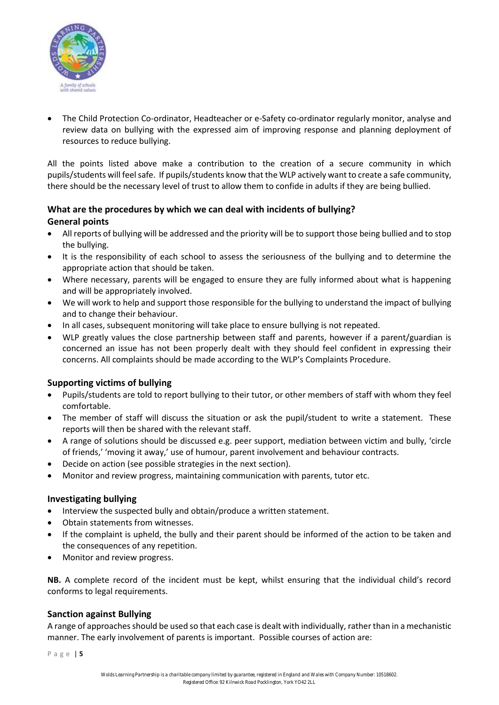

• The Child Protection Co-ordinator, Headteacher or e-Safety co-ordinator regularly monitor, analyse and review data on bullying with the expressed aim of improving response and planning deployment of resources to reduce bullying.

All the points listed above make a contribution to the creation of a secure community in which pupils/students will feel safe. If pupils/students know that the WLP actively want to create a safe community, there should be the necessary level of trust to allow them to confide in adults if they are being bullied.

# **What are the procedures by which we can deal with incidents of bullying? General points**

- All reports of bullying will be addressed and the priority will be to support those being bullied and to stop the bullying.
- It is the responsibility of each school to assess the seriousness of the bullying and to determine the appropriate action that should be taken.
- Where necessary, parents will be engaged to ensure they are fully informed about what is happening and will be appropriately involved.
- We will work to help and support those responsible for the bullying to understand the impact of bullying and to change their behaviour.
- In all cases, subsequent monitoring will take place to ensure bullying is not repeated.
- WLP greatly values the close partnership between staff and parents, however if a parent/guardian is concerned an issue has not been properly dealt with they should feel confident in expressing their concerns. All complaints should be made according to the WLP's Complaints Procedure.

# **Supporting victims of bullying**

- Pupils/students are told to report bullying to their tutor, or other members of staff with whom they feel comfortable.
- The member of staff will discuss the situation or ask the pupil/student to write a statement. These reports will then be shared with the relevant staff.
- A range of solutions should be discussed e.g. peer support, mediation between victim and bully, 'circle of friends,' 'moving it away,' use of humour, parent involvement and behaviour contracts.
- Decide on action (see possible strategies in the next section).
- Monitor and review progress, maintaining communication with parents, tutor etc.

#### **Investigating bullying**

- Interview the suspected bully and obtain/produce a written statement.
- Obtain statements from witnesses.
- If the complaint is upheld, the bully and their parent should be informed of the action to be taken and the consequences of any repetition.
- Monitor and review progress.

**NB.** A complete record of the incident must be kept, whilst ensuring that the individual child's record conforms to legal requirements.

#### **Sanction against Bullying**

A range of approaches should be used so that each case is dealt with individually, rather than in a mechanistic manner. The early involvement of parents is important. Possible courses of action are: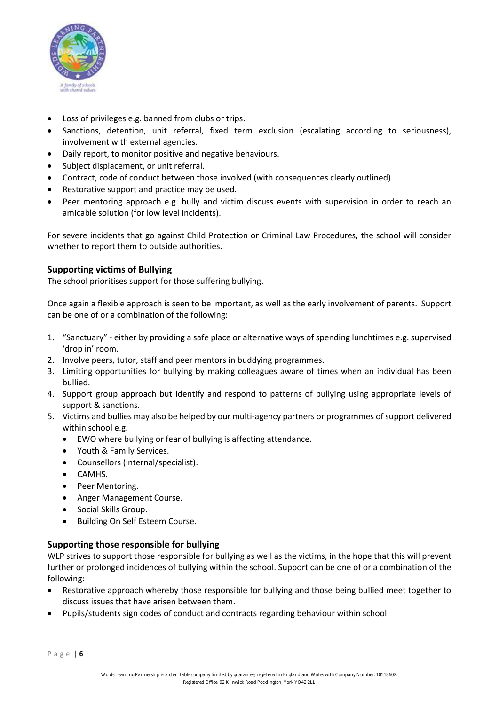

- Loss of privileges e.g. banned from clubs or trips.
- Sanctions, detention, unit referral, fixed term exclusion (escalating according to seriousness), involvement with external agencies.
- Daily report, to monitor positive and negative behaviours.
- Subject displacement, or unit referral.
- Contract, code of conduct between those involved (with consequences clearly outlined).
- Restorative support and practice may be used.
- Peer mentoring approach e.g. bully and victim discuss events with supervision in order to reach an amicable solution (for low level incidents).

For severe incidents that go against Child Protection or Criminal Law Procedures, the school will consider whether to report them to outside authorities.

# **Supporting victims of Bullying**

The school prioritises support for those suffering bullying.

Once again a flexible approach is seen to be important, as well as the early involvement of parents. Support can be one of or a combination of the following:

- 1. "Sanctuary" either by providing a safe place or alternative ways of spending lunchtimes e.g. supervised 'drop in' room.
- 2. Involve peers, tutor, staff and peer mentors in buddying programmes.
- 3. Limiting opportunities for bullying by making colleagues aware of times when an individual has been bullied.
- 4. Support group approach but identify and respond to patterns of bullying using appropriate levels of support & sanctions.
- 5. Victims and bullies may also be helped by our multi-agency partners or programmes of support delivered within school e.g.
	- EWO where bullying or fear of bullying is affecting attendance.
	- Youth & Family Services.
	- Counsellors (internal/specialist).
	- CAMHS.
	- Peer Mentoring.
	- Anger Management Course.
	- Social Skills Group.
	- Building On Self Esteem Course.

#### **Supporting those responsible for bullying**

WLP strives to support those responsible for bullying as well as the victims, in the hope that this will prevent further or prolonged incidences of bullying within the school. Support can be one of or a combination of the following:

- Restorative approach whereby those responsible for bullying and those being bullied meet together to discuss issues that have arisen between them.
- Pupils/students sign codes of conduct and contracts regarding behaviour within school.